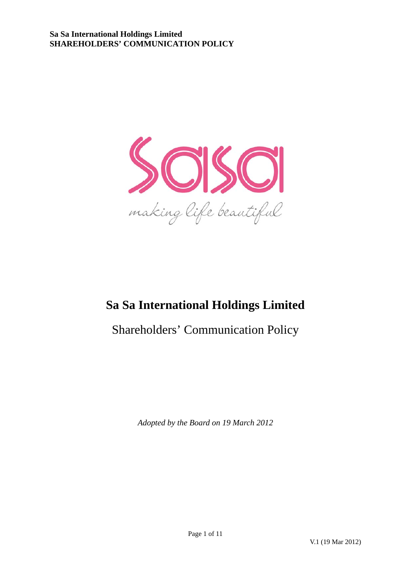

# **Sa Sa International Holdings Limited**

Shareholders' Communication Policy

*Adopted by the Board on 19 March 2012*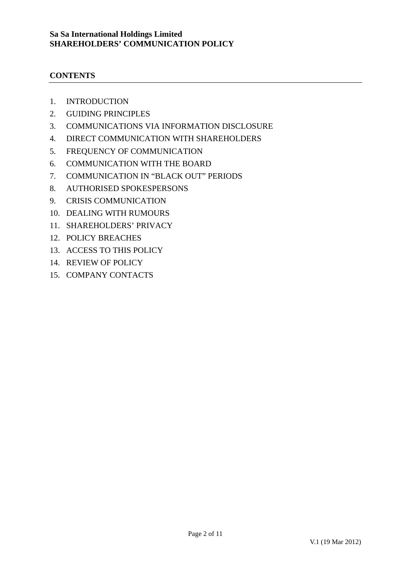# **CONTENTS**

- 1. INTRODUCTION
- 2. GUIDING PRINCIPLES
- 3. COMMUNICATIONS VIA INFORMATION DISCLOSURE
- 4. DIRECT COMMUNICATION WITH SHAREHOLDERS
- 5. FREQUENCY OF COMMUNICATION
- 6. COMMUNICATION WITH THE BOARD
- 7. COMMUNICATION IN "BLACK OUT" PERIODS
- 8. AUTHORISED SPOKESPERSONS
- 9. CRISIS COMMUNICATION
- 10. DEALING WITH RUMOURS
- 11. SHAREHOLDERS' PRIVACY
- 12. POLICY BREACHES
- 13. ACCESS TO THIS POLICY
- 14. REVIEW OF POLICY
- 15. COMPANY CONTACTS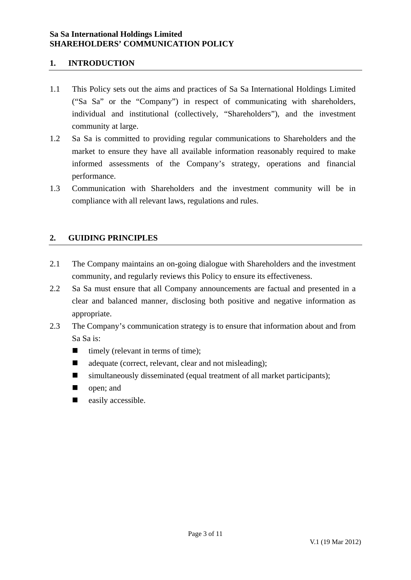# **1. INTRODUCTION**

- 1.1 This Policy sets out the aims and practices of Sa Sa International Holdings Limited ("Sa Sa" or the "Company") in respect of communicating with shareholders, individual and institutional (collectively, "Shareholders"), and the investment community at large.
- 1.2 Sa Sa is committed to providing regular communications to Shareholders and the market to ensure they have all available information reasonably required to make informed assessments of the Company's strategy, operations and financial performance.
- 1.3 Communication with Shareholders and the investment community will be in compliance with all relevant laws, regulations and rules.

# **2. GUIDING PRINCIPLES**

- 2.1 The Company maintains an on-going dialogue with Shareholders and the investment community, and regularly reviews this Policy to ensure its effectiveness.
- 2.2 Sa Sa must ensure that all Company announcements are factual and presented in a clear and balanced manner, disclosing both positive and negative information as appropriate.
- 2.3 The Company's communication strategy is to ensure that information about and from Sa Sa is:
	- $\blacksquare$  timely (relevant in terms of time):
	- adequate (correct, relevant, clear and not misleading);
	- simultaneously disseminated (equal treatment of all market participants);
	- open; and
	- $\blacksquare$  easily accessible.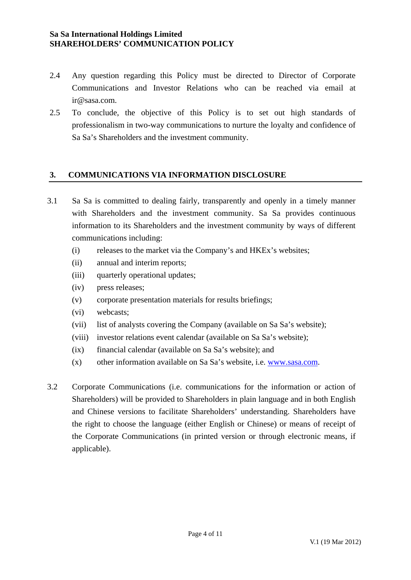- 2.4 Any question regarding this Policy must be directed to Director of Corporate Communications and Investor Relations who can be reached via email at ir@sasa.com.
- 2.5 To conclude, the objective of this Policy is to set out high standards of professionalism in two-way communications to nurture the loyalty and confidence of Sa Sa's Shareholders and the investment community.

# **3. COMMUNICATIONS VIA INFORMATION DISCLOSURE**

- 3.1 Sa Sa is committed to dealing fairly, transparently and openly in a timely manner with Shareholders and the investment community. Sa Sa provides continuous information to its Shareholders and the investment community by ways of different communications including:
	- (i) releases to the market via the Company's and HKEx's websites;
	- (ii) annual and interim reports;
	- (iii) quarterly operational updates;
	- (iv) press releases;
	- (v) corporate presentation materials for results briefings;
	- (vi) webcasts;
	- (vii) list of analysts covering the Company (available on Sa Sa's website);
	- (viii) investor relations event calendar (available on Sa Sa's website);
	- (ix) financial calendar (available on Sa Sa's website); and
	- (x) other information available on Sa Sa's website, i.e. [www.sasa.com.](http://www.sasa.com.hk/)
- 3.2 Corporate Communications (i.e. communications for the information or action of Shareholders) will be provided to Shareholders in plain language and in both English and Chinese versions to facilitate Shareholders' understanding. Shareholders have the right to choose the language (either English or Chinese) or means of receipt of the Corporate Communications (in printed version or through electronic means, if applicable).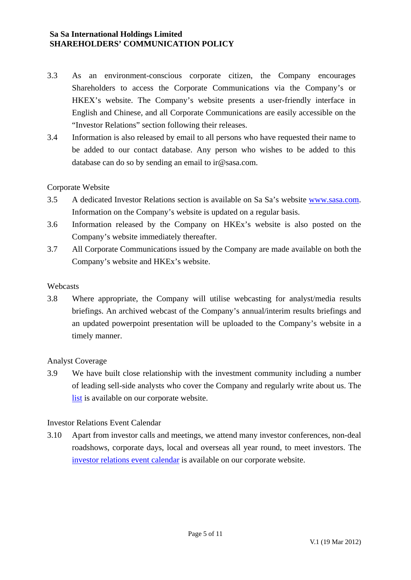- 3.3 As an environment-conscious corporate citizen, the Company encourages Shareholders to access the Corporate Communications via the Company's or HKEX's website. The Company's website presents a user-friendly interface in English and Chinese, and all Corporate Communications are easily accessible on the "Investor Relations" section following their releases.
- 3.4 Information is also released by email to all persons who have requested their name to be added to our contact database. Any person who wishes to be added to this database can do so by sending an email to ir@sasa.com.

# Corporate Website

- 3.5 A dedicated Investor Relations section is available on Sa Sa's website [www.sasa.com](http://www.sasa.com/). Information on the Company's website is updated on a regular basis.
- 3.6 Information released by the Company on HKEx's website is also posted on the Company's website immediately thereafter.
- 3.7 All Corporate Communications issued by the Company are made available on both the Company's website and HKEx's website.

#### Webcasts

3.8 Where appropriate, the Company will utilise webcasting for analyst/media results briefings. An archived webcast of the Company's annual/interim results briefings and an updated powerpoint presentation will be uploaded to the Company's website in a timely manner.

#### Analyst Coverage

3.9 We have built close relationship with the investment community including a number of leading sell-side analysts who cover the Company and regularly write about us. The [list](http://web1.sasa.com/corporate/eng/Inverstorrealtions/analyst_coverage/index.jsp) is available on our corporate website.

#### Investor Relations Event Calendar

3.10 Apart from investor calls and meetings, we attend many investor conferences, non-deal roadshows, corporate days, local and overseas all year round, to meet investors. The [investor relations event calendar](http://web1.sasa.com/corporate/eng/Inverstorrealtions/ir_events_planner/index.jsp) is available on our corporate website.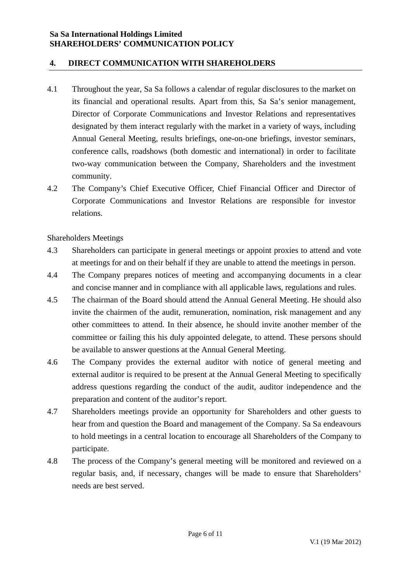# **4. DIRECT COMMUNICATION WITH SHAREHOLDERS**

- 4.1 Throughout the year, Sa Sa follows a calendar of regular disclosures to the market on its financial and operational results. Apart from this, Sa Sa's senior management, Director of Corporate Communications and Investor Relations and representatives designated by them interact regularly with the market in a variety of ways, including Annual General Meeting, results briefings, one-on-one briefings, investor seminars, conference calls, roadshows (both domestic and international) in order to facilitate two-way communication between the Company, Shareholders and the investment community.
- 4.2 The Company's Chief Executive Officer, Chief Financial Officer and Director of Corporate Communications and Investor Relations are responsible for investor relations.

Shareholders Meetings

- 4.3 Shareholders can participate in general meetings or appoint proxies to attend and vote at meetings for and on their behalf if they are unable to attend the meetings in person.
- 4.4 The Company prepares notices of meeting and accompanying documents in a clear and concise manner and in compliance with all applicable laws, regulations and rules.
- 4.5 The chairman of the Board should attend the Annual General Meeting. He should also invite the chairmen of the audit, remuneration, nomination, risk management and any other committees to attend. In their absence, he should invite another member of the committee or failing this his duly appointed delegate, to attend. These persons should be available to answer questions at the Annual General Meeting.
- 4.6 The Company provides the external auditor with notice of general meeting and external auditor is required to be present at the Annual General Meeting to specifically address questions regarding the conduct of the audit, auditor independence and the preparation and content of the auditor's report.
- 4.7 Shareholders meetings provide an opportunity for Shareholders and other guests to hear from and question the Board and management of the Company. Sa Sa endeavours to hold meetings in a central location to encourage all Shareholders of the Company to participate.
- 4.8 The process of the Company's general meeting will be monitored and reviewed on a regular basis, and, if necessary, changes will be made to ensure that Shareholders' needs are best served.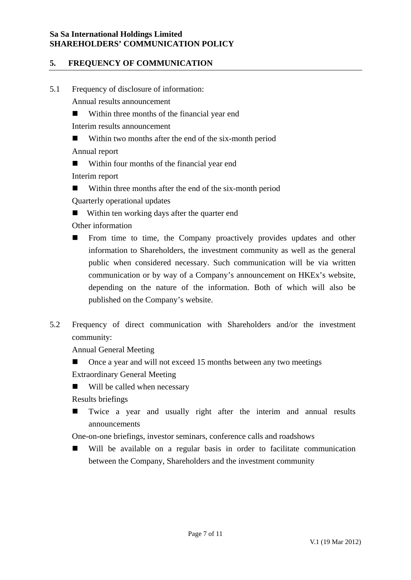# **5. FREQUENCY OF COMMUNICATION**

5.1 Frequency of disclosure of information:

Annual results announcement

■ Within three months of the financial year end

Interim results announcement

■ Within two months after the end of the six-month period

Annual report

■ Within four months of the financial year end

Interim report

- Within three months after the end of the six-month period Quarterly operational updates
- Within ten working days after the quarter end

Other information

- **From time to time, the Company proactively provides updates and other** information to Shareholders, the investment community as well as the general public when considered necessary. Such communication will be via written communication or by way of a Company's announcement on HKEx's website, depending on the nature of the information. Both of which will also be published on the Company's website.
- 5.2 Frequency of direct communication with Shareholders and/or the investment community:

Annual General Meeting

Once a year and will not exceed 15 months between any two meetings

Extraordinary General Meeting

Will be called when necessary

Results briefings

■ Twice a year and usually right after the interim and annual results announcements

One-on-one briefings, investor seminars, conference calls and roadshows

 Will be available on a regular basis in order to facilitate communication between the Company, Shareholders and the investment community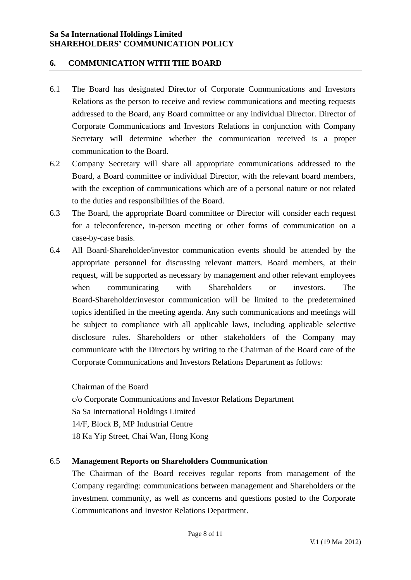# **6. COMMUNICATION WITH THE BOARD**

- 6.1 The Board has designated Director of Corporate Communications and Investors Relations as the person to receive and review communications and meeting requests addressed to the Board, any Board committee or any individual Director. Director of Corporate Communications and Investors Relations in conjunction with Company Secretary will determine whether the communication received is a proper communication to the Board.
- 6.2 Company Secretary will share all appropriate communications addressed to the Board, a Board committee or individual Director, with the relevant board members, with the exception of communications which are of a personal nature or not related to the duties and responsibilities of the Board.
- 6.3 The Board, the appropriate Board committee or Director will consider each request for a teleconference, in-person meeting or other forms of communication on a case-by-case basis.
- 6.4 All Board-Shareholder/investor communication events should be attended by the appropriate personnel for discussing relevant matters. Board members, at their request, will be supported as necessary by management and other relevant employees when communicating with Shareholders or investors. The Board-Shareholder/investor communication will be limited to the predetermined topics identified in the meeting agenda. Any such communications and meetings will be subject to compliance with all applicable laws, including applicable selective disclosure rules. Shareholders or other stakeholders of the Company may communicate with the Directors by writing to the Chairman of the Board care of the Corporate Communications and Investors Relations Department as follows:

Chairman of the Board c/o Corporate Communications and Investor Relations Department Sa Sa International Holdings Limited 14/F, Block B, MP Industrial Centre 18 Ka Yip Street, Chai Wan, Hong Kong

#### 6.5 **Management Reports on Shareholders Communication**

The Chairman of the Board receives regular reports from management of the Company regarding: communications between management and Shareholders or the investment community, as well as concerns and questions posted to the Corporate Communications and Investor Relations Department.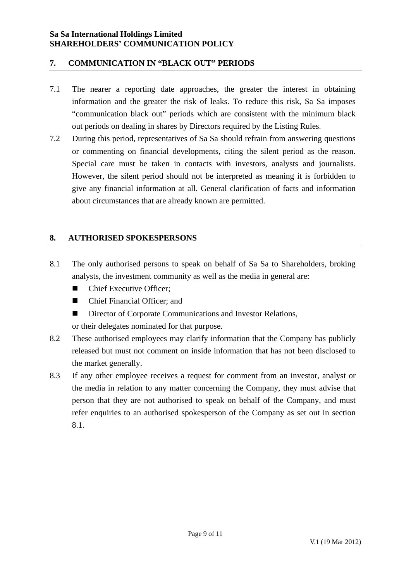# **7. COMMUNICATION IN "BLACK OUT" PERIODS**

- 7.1 The nearer a reporting date approaches, the greater the interest in obtaining information and the greater the risk of leaks. To reduce this risk, Sa Sa imposes "communication black out" periods which are consistent with the minimum black out periods on dealing in shares by Directors required by the Listing Rules.
- 7.2 During this period, representatives of Sa Sa should refrain from answering questions or commenting on financial developments, citing the silent period as the reason. Special care must be taken in contacts with investors, analysts and journalists. However, the silent period should not be interpreted as meaning it is forbidden to give any financial information at all. General clarification of facts and information about circumstances that are already known are permitted.

# **8. AUTHORISED SPOKESPERSONS**

- 8.1 The only authorised persons to speak on behalf of Sa Sa to Shareholders, broking analysts, the investment community as well as the media in general are:
	- Chief Executive Officer:
	- Chief Financial Officer: and
	- Director of Corporate Communications and Investor Relations.

or their delegates nominated for that purpose.

- 8.2 These authorised employees may clarify information that the Company has publicly released but must not comment on inside information that has not been disclosed to the market generally.
- 8.3 If any other employee receives a request for comment from an investor, analyst or the media in relation to any matter concerning the Company, they must advise that person that they are not authorised to speak on behalf of the Company, and must refer enquiries to an authorised spokesperson of the Company as set out in section 8.1.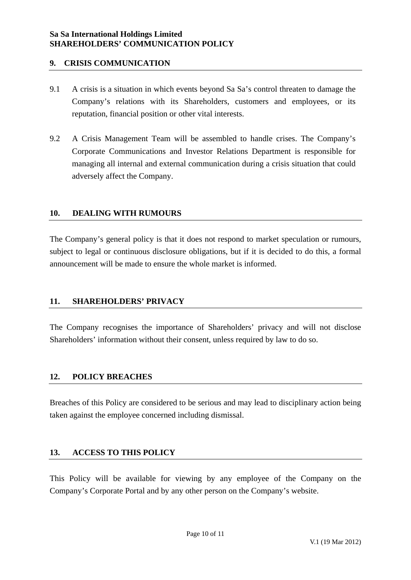# **9. CRISIS COMMUNICATION**

- 9.1 A crisis is a situation in which events beyond Sa Sa's control threaten to damage the Company's relations with its Shareholders, customers and employees, or its reputation, financial position or other vital interests.
- 9.2 A Crisis Management Team will be assembled to handle crises. The Company's Corporate Communications and Investor Relations Department is responsible for managing all internal and external communication during a crisis situation that could adversely affect the Company.

# **10. DEALING WITH RUMOURS**

The Company's general policy is that it does not respond to market speculation or rumours, subject to legal or continuous disclosure obligations, but if it is decided to do this, a formal announcement will be made to ensure the whole market is informed.

# **11. SHAREHOLDERS' PRIVACY**

The Company recognises the importance of Shareholders' privacy and will not disclose Shareholders' information without their consent, unless required by law to do so.

# **12. POLICY BREACHES**

Breaches of this Policy are considered to be serious and may lead to disciplinary action being taken against the employee concerned including dismissal.

# **13. ACCESS TO THIS POLICY**

This Policy will be available for viewing by any employee of the Company on the Company's Corporate Portal and by any other person on the Company's website.